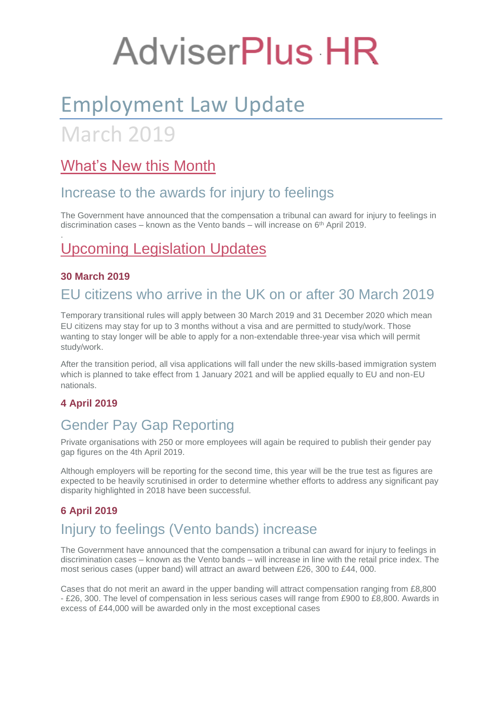# **AdviserPlus HR**

## Employment Law Update

## March 2019

## What's New this Month

### Increase to the awards for injury to feelings

The Government have announced that the compensation a tribunal can award for injury to feelings in discrimination cases – known as the Vento bands – will increase on 6th April 2019.

## Upcoming Legislation Updates

#### **30 March 2019**

.

## EU citizens who arrive in the UK on or after 30 March 2019

Temporary transitional rules will apply between 30 March 2019 and 31 December 2020 which mean EU citizens may stay for up to 3 months without a visa and are permitted to study/work. Those wanting to stay longer will be able to apply for a non-extendable three-year visa which will permit study/work.

After the transition period, all visa applications will fall under the new skills-based immigration system which is planned to take effect from 1 January 2021 and will be applied equally to EU and non-EU nationals.

#### **4 April 2019**

## Gender Pay Gap Reporting

Private organisations with 250 or more employees will again be required to publish their gender pay gap figures on the 4th April 2019.

Although employers will be reporting for the second time, this year will be the true test as figures are expected to be heavily scrutinised in order to determine whether efforts to address any significant pay disparity highlighted in 2018 have been successful.

#### **6 April 2019**

## Injury to feelings (Vento bands) increase

The Government have announced that the compensation a tribunal can award for injury to feelings in discrimination cases – known as the Vento bands – will increase in line with the retail price index. The most serious cases (upper band) will attract an award between £26, 300 to £44, 000.

Cases that do not merit an award in the upper banding will attract compensation ranging from £8,800 - £26, 300. The level of compensation in less serious cases will range from £900 to £8,800. Awards in excess of £44,000 will be awarded only in the most exceptional cases